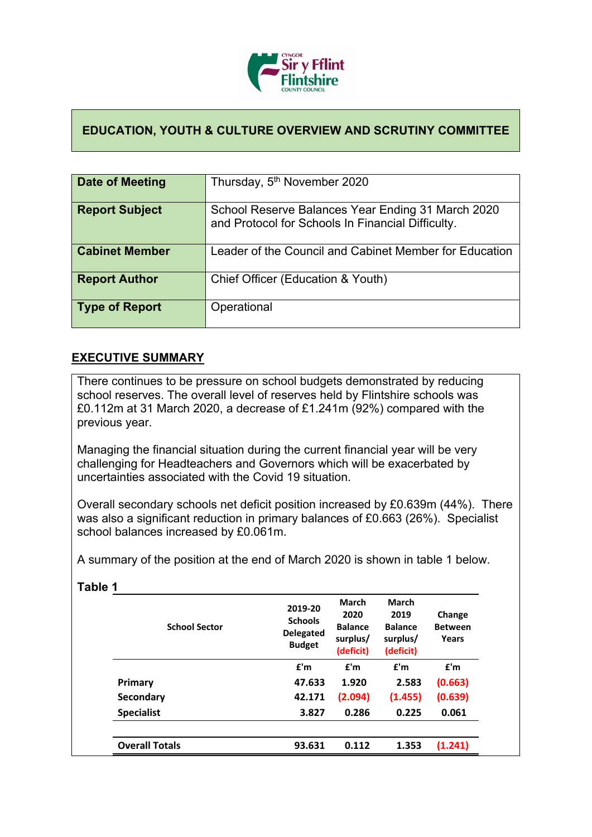

## **EDUCATION, YOUTH & CULTURE OVERVIEW AND SCRUTINY COMMITTEE**

| Date of Meeting       | Thursday, 5 <sup>th</sup> November 2020                                                                |
|-----------------------|--------------------------------------------------------------------------------------------------------|
| <b>Report Subject</b> | School Reserve Balances Year Ending 31 March 2020<br>and Protocol for Schools In Financial Difficulty. |
| <b>Cabinet Member</b> | Leader of the Council and Cabinet Member for Education                                                 |
| <b>Report Author</b>  | Chief Officer (Education & Youth)                                                                      |
| <b>Type of Report</b> | Operational                                                                                            |

## **EXECUTIVE SUMMARY**

There continues to be pressure on school budgets demonstrated by reducing school reserves. The overall level of reserves held by Flintshire schools was £0.112m at 31 March 2020, a decrease of £1.241m (92%) compared with the previous year.

Managing the financial situation during the current financial year will be very challenging for Headteachers and Governors which will be exacerbated by uncertainties associated with the Covid 19 situation.

Overall secondary schools net deficit position increased by £0.639m (44%). There was also a significant reduction in primary balances of £0.663 (26%). Specialist school balances increased by £0.061m.

A summary of the position at the end of March 2020 is shown in table 1 below.

| <b>School Sector</b>  | 2019-20<br><b>Schools</b><br><b>Delegated</b><br><b>Budget</b> | <b>March</b><br>2020<br><b>Balance</b><br>surplus/<br>(deficit) | <b>March</b><br>2019<br><b>Balance</b><br>surplus/<br>(deficit) | Change<br><b>Between</b><br>Years |
|-----------------------|----------------------------------------------------------------|-----------------------------------------------------------------|-----------------------------------------------------------------|-----------------------------------|
|                       | f'm                                                            | f'm                                                             | f'm                                                             | f'm                               |
| Primary               | 47.633                                                         | 1.920                                                           | 2.583                                                           | (0.663)                           |
| <b>Secondary</b>      | 42.171                                                         | (2.094)                                                         | (1.455)                                                         | (0.639)                           |
| <b>Specialist</b>     | 3.827                                                          | 0.286                                                           | 0.225                                                           | 0.061                             |
|                       |                                                                |                                                                 |                                                                 |                                   |
| <b>Overall Totals</b> | 93.631                                                         | 0.112                                                           | 1.353                                                           | (1.241)                           |

**Table 1**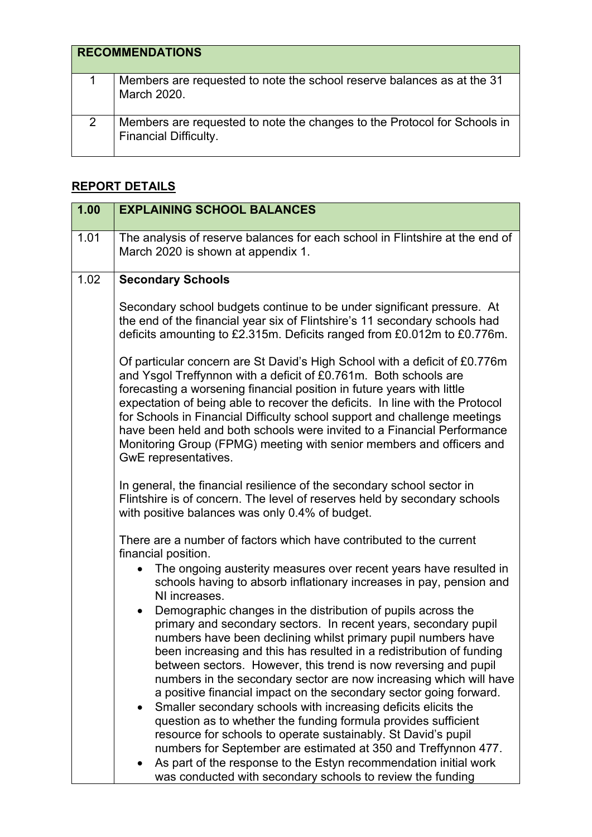|   | <b>RECOMMENDATIONS</b>                                                                                   |
|---|----------------------------------------------------------------------------------------------------------|
|   | Members are requested to note the school reserve balances as at the 31<br>March 2020.                    |
| 2 | Members are requested to note the changes to the Protocol for Schools in<br><b>Financial Difficulty.</b> |

## **REPORT DETAILS**

| 1.00 | <b>EXPLAINING SCHOOL BALANCES</b>                                                                                                                                                                                                                                                                                                                                                                                                                                                                                                                                |
|------|------------------------------------------------------------------------------------------------------------------------------------------------------------------------------------------------------------------------------------------------------------------------------------------------------------------------------------------------------------------------------------------------------------------------------------------------------------------------------------------------------------------------------------------------------------------|
| 1.01 | The analysis of reserve balances for each school in Flintshire at the end of<br>March 2020 is shown at appendix 1.                                                                                                                                                                                                                                                                                                                                                                                                                                               |
| 1.02 | <b>Secondary Schools</b>                                                                                                                                                                                                                                                                                                                                                                                                                                                                                                                                         |
|      | Secondary school budgets continue to be under significant pressure. At<br>the end of the financial year six of Flintshire's 11 secondary schools had<br>deficits amounting to £2.315m. Deficits ranged from £0.012m to £0.776m.                                                                                                                                                                                                                                                                                                                                  |
|      | Of particular concern are St David's High School with a deficit of £0.776m<br>and Ysgol Treffynnon with a deficit of £0.761m. Both schools are<br>forecasting a worsening financial position in future years with little<br>expectation of being able to recover the deficits. In line with the Protocol<br>for Schools in Financial Difficulty school support and challenge meetings<br>have been held and both schools were invited to a Financial Performance<br>Monitoring Group (FPMG) meeting with senior members and officers and<br>GwE representatives. |
|      | In general, the financial resilience of the secondary school sector in<br>Flintshire is of concern. The level of reserves held by secondary schools<br>with positive balances was only 0.4% of budget.                                                                                                                                                                                                                                                                                                                                                           |
|      | There are a number of factors which have contributed to the current<br>financial position.<br>The ongoing austerity measures over recent years have resulted in<br>schools having to absorb inflationary increases in pay, pension and                                                                                                                                                                                                                                                                                                                           |
|      | NI increases.<br>Demographic changes in the distribution of pupils across the<br>$\bullet$<br>primary and secondary sectors. In recent years, secondary pupil<br>numbers have been declining whilst primary pupil numbers have<br>been increasing and this has resulted in a redistribution of funding<br>between sectors. However, this trend is now reversing and pupil<br>numbers in the secondary sector are now increasing which will have<br>a positive financial impact on the secondary sector going forward.                                            |
|      | Smaller secondary schools with increasing deficits elicits the<br>$\bullet$<br>question as to whether the funding formula provides sufficient<br>resource for schools to operate sustainably. St David's pupil<br>numbers for September are estimated at 350 and Treffynnon 477.<br>As part of the response to the Estyn recommendation initial work<br>was conducted with secondary schools to review the funding                                                                                                                                               |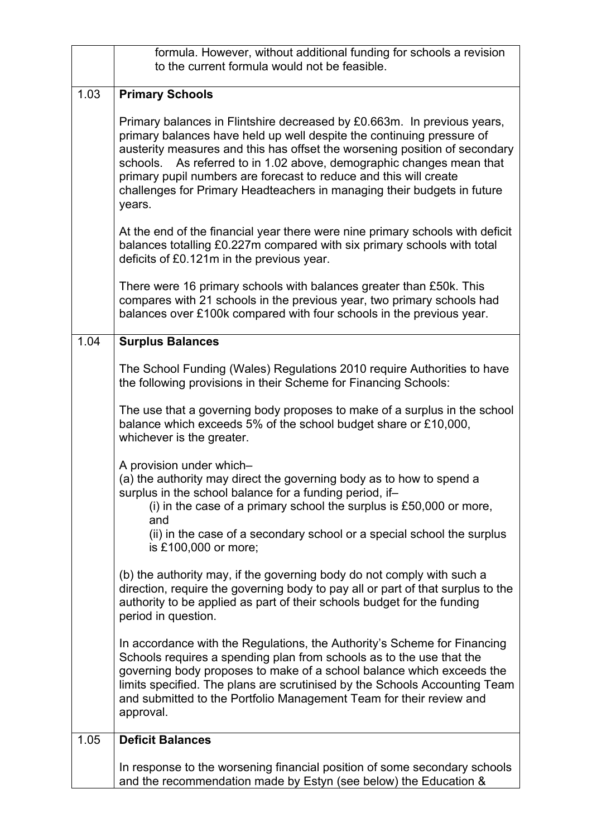|      | formula. However, without additional funding for schools a revision<br>to the current formula would not be feasible.                                                                                                                                                                                                                                                                                                                                             |
|------|------------------------------------------------------------------------------------------------------------------------------------------------------------------------------------------------------------------------------------------------------------------------------------------------------------------------------------------------------------------------------------------------------------------------------------------------------------------|
| 1.03 | <b>Primary Schools</b>                                                                                                                                                                                                                                                                                                                                                                                                                                           |
|      | Primary balances in Flintshire decreased by £0.663m. In previous years,<br>primary balances have held up well despite the continuing pressure of<br>austerity measures and this has offset the worsening position of secondary<br>schools. As referred to in 1.02 above, demographic changes mean that<br>primary pupil numbers are forecast to reduce and this will create<br>challenges for Primary Headteachers in managing their budgets in future<br>years. |
|      | At the end of the financial year there were nine primary schools with deficit<br>balances totalling £0.227m compared with six primary schools with total<br>deficits of £0.121m in the previous year.                                                                                                                                                                                                                                                            |
|      | There were 16 primary schools with balances greater than £50k. This<br>compares with 21 schools in the previous year, two primary schools had<br>balances over £100k compared with four schools in the previous year.                                                                                                                                                                                                                                            |
| 1.04 | <b>Surplus Balances</b>                                                                                                                                                                                                                                                                                                                                                                                                                                          |
|      | The School Funding (Wales) Regulations 2010 require Authorities to have<br>the following provisions in their Scheme for Financing Schools:                                                                                                                                                                                                                                                                                                                       |
|      | The use that a governing body proposes to make of a surplus in the school<br>balance which exceeds 5% of the school budget share or £10,000,<br>whichever is the greater.                                                                                                                                                                                                                                                                                        |
|      | A provision under which-<br>(a) the authority may direct the governing body as to how to spend a<br>surplus in the school balance for a funding period, if-<br>(i) in the case of a primary school the surplus is $£50,000$ or more,<br>and                                                                                                                                                                                                                      |
|      | (ii) in the case of a secondary school or a special school the surplus<br>is £100,000 or more;                                                                                                                                                                                                                                                                                                                                                                   |
|      | (b) the authority may, if the governing body do not comply with such a<br>direction, require the governing body to pay all or part of that surplus to the<br>authority to be applied as part of their schools budget for the funding<br>period in question.                                                                                                                                                                                                      |
|      | In accordance with the Regulations, the Authority's Scheme for Financing<br>Schools requires a spending plan from schools as to the use that the<br>governing body proposes to make of a school balance which exceeds the<br>limits specified. The plans are scrutinised by the Schools Accounting Team<br>and submitted to the Portfolio Management Team for their review and<br>approval.                                                                      |
| 1.05 | <b>Deficit Balances</b>                                                                                                                                                                                                                                                                                                                                                                                                                                          |
|      | In response to the worsening financial position of some secondary schools<br>and the recommendation made by Estyn (see below) the Education &                                                                                                                                                                                                                                                                                                                    |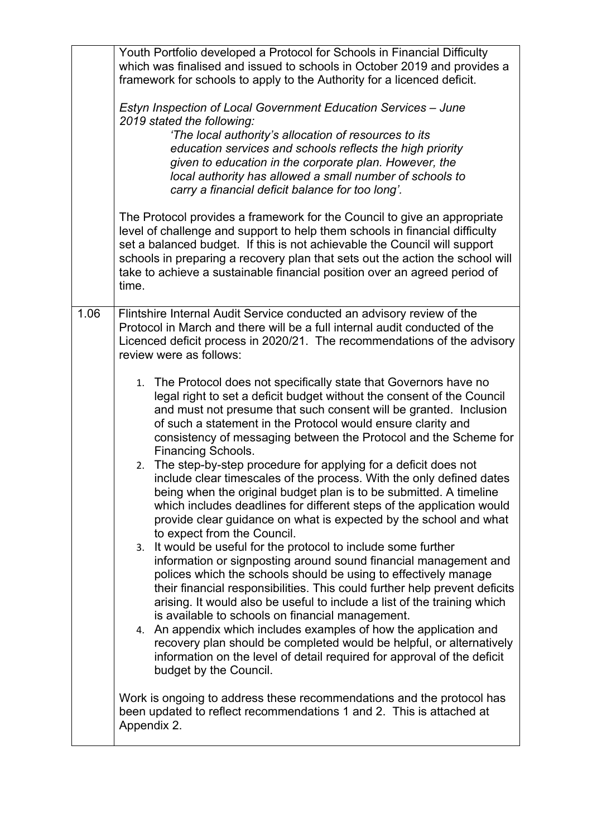|      | Youth Portfolio developed a Protocol for Schools in Financial Difficulty<br>which was finalised and issued to schools in October 2019 and provides a<br>framework for schools to apply to the Authority for a licenced deficit.<br>Estyn Inspection of Local Government Education Services - June<br>2019 stated the following:<br>'The local authority's allocation of resources to its<br>education services and schools reflects the high priority<br>given to education in the corporate plan. However, the<br>local authority has allowed a small number of schools to<br>carry a financial deficit balance for too long'.<br>The Protocol provides a framework for the Council to give an appropriate<br>level of challenge and support to help them schools in financial difficulty<br>set a balanced budget. If this is not achievable the Council will support<br>schools in preparing a recovery plan that sets out the action the school will<br>take to achieve a sustainable financial position over an agreed period of<br>time. |
|------|------------------------------------------------------------------------------------------------------------------------------------------------------------------------------------------------------------------------------------------------------------------------------------------------------------------------------------------------------------------------------------------------------------------------------------------------------------------------------------------------------------------------------------------------------------------------------------------------------------------------------------------------------------------------------------------------------------------------------------------------------------------------------------------------------------------------------------------------------------------------------------------------------------------------------------------------------------------------------------------------------------------------------------------------|
| 1.06 | Flintshire Internal Audit Service conducted an advisory review of the<br>Protocol in March and there will be a full internal audit conducted of the<br>Licenced deficit process in 2020/21. The recommendations of the advisory                                                                                                                                                                                                                                                                                                                                                                                                                                                                                                                                                                                                                                                                                                                                                                                                                |
|      | review were as follows:                                                                                                                                                                                                                                                                                                                                                                                                                                                                                                                                                                                                                                                                                                                                                                                                                                                                                                                                                                                                                        |
|      | 1. The Protocol does not specifically state that Governors have no<br>legal right to set a deficit budget without the consent of the Council<br>and must not presume that such consent will be granted. Inclusion<br>of such a statement in the Protocol would ensure clarity and<br>consistency of messaging between the Protocol and the Scheme for<br><b>Financing Schools.</b>                                                                                                                                                                                                                                                                                                                                                                                                                                                                                                                                                                                                                                                             |
|      | 2. The step-by-step procedure for applying for a deficit does not<br>include clear timescales of the process. With the only defined dates<br>being when the original budget plan is to be submitted. A timeline<br>which includes deadlines for different steps of the application would<br>provide clear guidance on what is expected by the school and what<br>to expect from the Council.                                                                                                                                                                                                                                                                                                                                                                                                                                                                                                                                                                                                                                                   |
|      | 3. It would be useful for the protocol to include some further<br>information or signposting around sound financial management and<br>polices which the schools should be using to effectively manage<br>their financial responsibilities. This could further help prevent deficits<br>arising. It would also be useful to include a list of the training which<br>is available to schools on financial management.                                                                                                                                                                                                                                                                                                                                                                                                                                                                                                                                                                                                                            |
|      | 4. An appendix which includes examples of how the application and<br>recovery plan should be completed would be helpful, or alternatively<br>information on the level of detail required for approval of the deficit<br>budget by the Council.                                                                                                                                                                                                                                                                                                                                                                                                                                                                                                                                                                                                                                                                                                                                                                                                 |
|      | Work is ongoing to address these recommendations and the protocol has<br>been updated to reflect recommendations 1 and 2. This is attached at<br>Appendix 2.                                                                                                                                                                                                                                                                                                                                                                                                                                                                                                                                                                                                                                                                                                                                                                                                                                                                                   |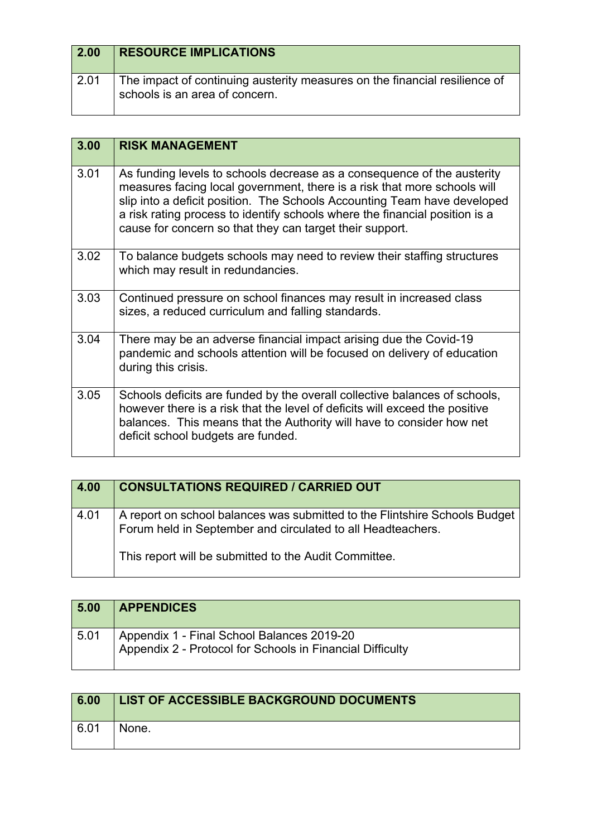| 2.00 | <b>RESOURCE IMPLICATIONS</b>                                                                                 |
|------|--------------------------------------------------------------------------------------------------------------|
| 2.01 | The impact of continuing austerity measures on the financial resilience of<br>schools is an area of concern. |

| 3.00 | <b>RISK MANAGEMENT</b>                                                                                                                                                                                                                                                                                                                                                     |
|------|----------------------------------------------------------------------------------------------------------------------------------------------------------------------------------------------------------------------------------------------------------------------------------------------------------------------------------------------------------------------------|
| 3.01 | As funding levels to schools decrease as a consequence of the austerity<br>measures facing local government, there is a risk that more schools will<br>slip into a deficit position. The Schools Accounting Team have developed<br>a risk rating process to identify schools where the financial position is a<br>cause for concern so that they can target their support. |
| 3.02 | To balance budgets schools may need to review their staffing structures<br>which may result in redundancies.                                                                                                                                                                                                                                                               |
| 3.03 | Continued pressure on school finances may result in increased class<br>sizes, a reduced curriculum and falling standards.                                                                                                                                                                                                                                                  |
| 3.04 | There may be an adverse financial impact arising due the Covid-19<br>pandemic and schools attention will be focused on delivery of education<br>during this crisis.                                                                                                                                                                                                        |
| 3.05 | Schools deficits are funded by the overall collective balances of schools,<br>however there is a risk that the level of deficits will exceed the positive<br>balances. This means that the Authority will have to consider how net<br>deficit school budgets are funded.                                                                                                   |

| 4.00 | <b>CONSULTATIONS REQUIRED / CARRIED OUT</b>                                                                                               |
|------|-------------------------------------------------------------------------------------------------------------------------------------------|
| 4.01 | A report on school balances was submitted to the Flintshire Schools Budget<br>Forum held in September and circulated to all Headteachers. |
|      | This report will be submitted to the Audit Committee.                                                                                     |

| 5.00 | <b>APPENDICES</b>                                                                                       |
|------|---------------------------------------------------------------------------------------------------------|
| 5.01 | Appendix 1 - Final School Balances 2019-20<br>Appendix 2 - Protocol for Schools in Financial Difficulty |

| 6.00 | LIST OF ACCESSIBLE BACKGROUND DOCUMENTS |
|------|-----------------------------------------|
| 6.01 | None.                                   |